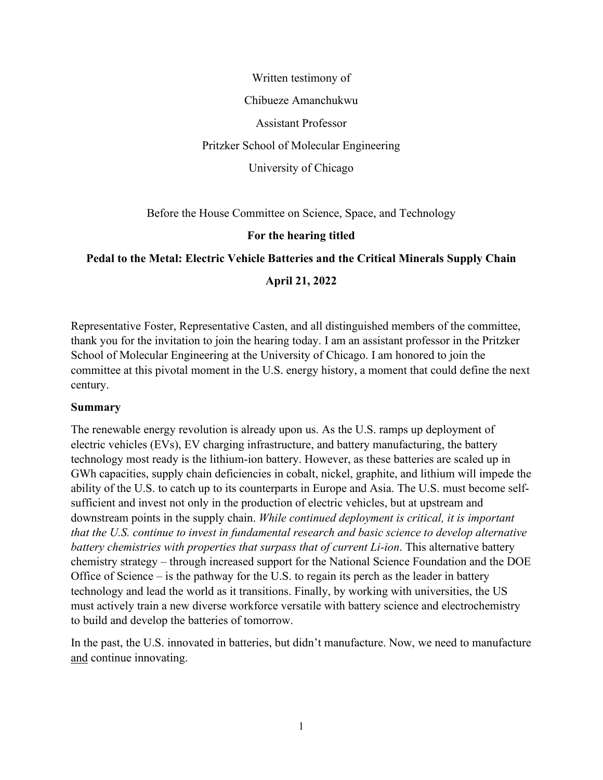Written testimony of Chibueze Amanchukwu Assistant Professor Pritzker School of Molecular Engineering University of Chicago

Before the House Committee on Science, Space, and Technology

### **For the hearing titled**

### **Pedal to the Metal: Electric Vehicle Batteries and the Critical Minerals Supply Chain**

### **April 21, 2022**

Representative Foster, Representative Casten, and all distinguished members of the committee, thank you for the invitation to join the hearing today. I am an assistant professor in the Pritzker School of Molecular Engineering at the University of Chicago. I am honored to join the committee at this pivotal moment in the U.S. energy history, a moment that could define the next century.

#### **Summary**

The renewable energy revolution is already upon us. As the U.S. ramps up deployment of electric vehicles (EVs), EV charging infrastructure, and battery manufacturing, the battery technology most ready is the lithium-ion battery. However, as these batteries are scaled up in GWh capacities, supply chain deficiencies in cobalt, nickel, graphite, and lithium will impede the ability of the U.S. to catch up to its counterparts in Europe and Asia. The U.S. must become selfsufficient and invest not only in the production of electric vehicles, but at upstream and downstream points in the supply chain. *While continued deployment is critical, it is important that the U.S. continue to invest in fundamental research and basic science to develop alternative battery chemistries with properties that surpass that of current Li-ion*. This alternative battery chemistry strategy – through increased support for the National Science Foundation and the DOE Office of Science – is the pathway for the U.S. to regain its perch as the leader in battery technology and lead the world as it transitions. Finally, by working with universities, the US must actively train a new diverse workforce versatile with battery science and electrochemistry to build and develop the batteries of tomorrow.

In the past, the U.S. innovated in batteries, but didn't manufacture. Now, we need to manufacture and continue innovating.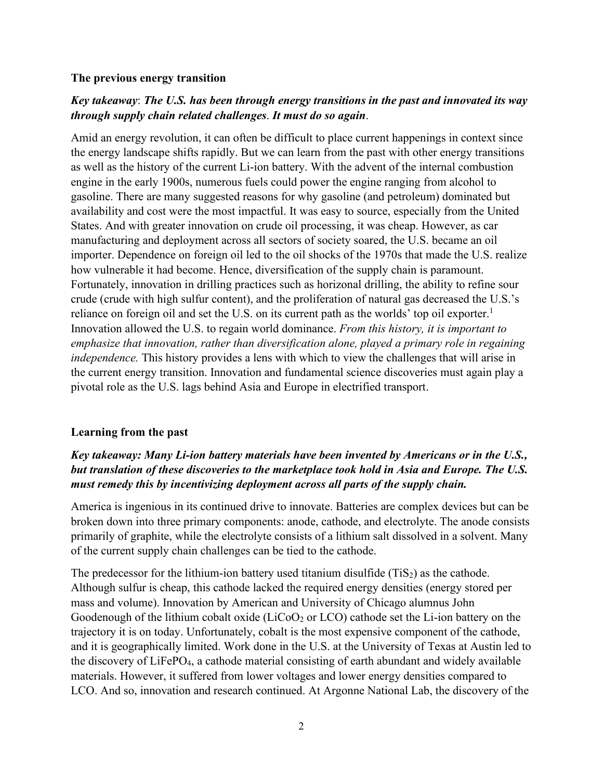#### **The previous energy transition**

### *Key takeaway*: *The U.S. has been through energy transitions in the past and innovated its way through supply chain related challenges*. *It must do so again*.

Amid an energy revolution, it can often be difficult to place current happenings in context since the energy landscape shifts rapidly. But we can learn from the past with other energy transitions as well as the history of the current Li-ion battery. With the advent of the internal combustion engine in the early 1900s, numerous fuels could power the engine ranging from alcohol to gasoline. There are many suggested reasons for why gasoline (and petroleum) dominated but availability and cost were the most impactful. It was easy to source, especially from the United States. And with greater innovation on crude oil processing, it was cheap. However, as car manufacturing and deployment across all sectors of society soared, the U.S. became an oil importer. Dependence on foreign oil led to the oil shocks of the 1970s that made the U.S. realize how vulnerable it had become. Hence, diversification of the supply chain is paramount. Fortunately, innovation in drilling practices such as horizonal drilling, the ability to refine sour crude (crude with high sulfur content), and the proliferation of natural gas decreased the U.S.'s reliance on foreign oil and set the U.S. on its current path as the worlds' top oil exporter.<sup>1</sup> Innovation allowed the U.S. to regain world dominance. *From this history, it is important to emphasize that innovation, rather than diversification alone, played a primary role in regaining independence.* This history provides a lens with which to view the challenges that will arise in the current energy transition. Innovation and fundamental science discoveries must again play a pivotal role as the U.S. lags behind Asia and Europe in electrified transport.

### **Learning from the past**

# *Key takeaway: Many Li-ion battery materials have been invented by Americans or in the U.S., but translation of these discoveries to the marketplace took hold in Asia and Europe. The U.S. must remedy this by incentivizing deployment across all parts of the supply chain.*

America is ingenious in its continued drive to innovate. Batteries are complex devices but can be broken down into three primary components: anode, cathode, and electrolyte. The anode consists primarily of graphite, while the electrolyte consists of a lithium salt dissolved in a solvent. Many of the current supply chain challenges can be tied to the cathode.

The predecessor for the lithium-ion battery used titanium disulfide  $(TiS_2)$  as the cathode. Although sulfur is cheap, this cathode lacked the required energy densities (energy stored per mass and volume). Innovation by American and University of Chicago alumnus John Goodenough of the lithium cobalt oxide (LiCoO<sub>2</sub> or LCO) cathode set the Li-ion battery on the trajectory it is on today. Unfortunately, cobalt is the most expensive component of the cathode, and it is geographically limited. Work done in the U.S. at the University of Texas at Austin led to the discovery of LiFePO4, a cathode material consisting of earth abundant and widely available materials. However, it suffered from lower voltages and lower energy densities compared to LCO. And so, innovation and research continued. At Argonne National Lab, the discovery of the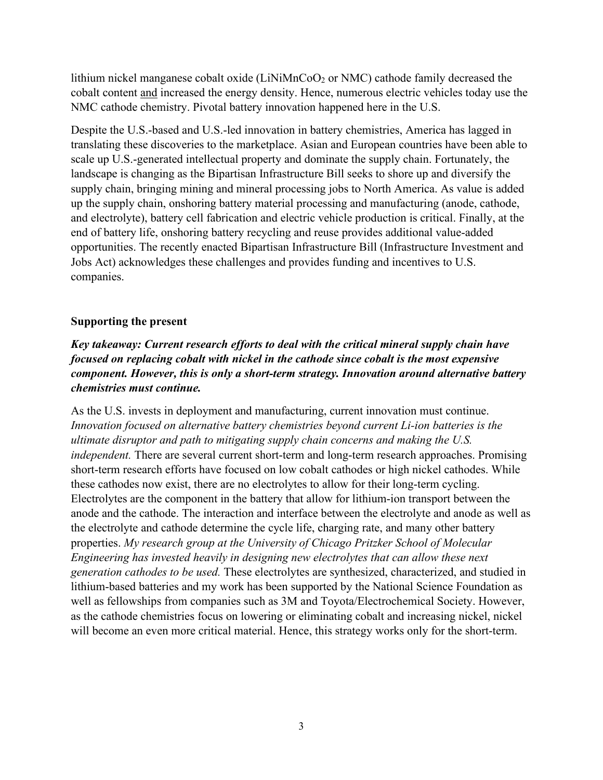lithium nickel manganese cobalt oxide (LiNiMnCoO<sub>2</sub> or NMC) cathode family decreased the cobalt content and increased the energy density. Hence, numerous electric vehicles today use the NMC cathode chemistry. Pivotal battery innovation happened here in the U.S.

Despite the U.S.-based and U.S.-led innovation in battery chemistries, America has lagged in translating these discoveries to the marketplace. Asian and European countries have been able to scale up U.S.-generated intellectual property and dominate the supply chain. Fortunately, the landscape is changing as the Bipartisan Infrastructure Bill seeks to shore up and diversify the supply chain, bringing mining and mineral processing jobs to North America. As value is added up the supply chain, onshoring battery material processing and manufacturing (anode, cathode, and electrolyte), battery cell fabrication and electric vehicle production is critical. Finally, at the end of battery life, onshoring battery recycling and reuse provides additional value-added opportunities. The recently enacted Bipartisan Infrastructure Bill (Infrastructure Investment and Jobs Act) acknowledges these challenges and provides funding and incentives to U.S. companies.

### **Supporting the present**

*Key takeaway: Current research efforts to deal with the critical mineral supply chain have focused on replacing cobalt with nickel in the cathode since cobalt is the most expensive component. However, this is only a short-term strategy. Innovation around alternative battery chemistries must continue.*

As the U.S. invests in deployment and manufacturing, current innovation must continue. *Innovation focused on alternative battery chemistries beyond current Li-ion batteries is the ultimate disruptor and path to mitigating supply chain concerns and making the U.S. independent.* There are several current short-term and long-term research approaches. Promising short-term research efforts have focused on low cobalt cathodes or high nickel cathodes. While these cathodes now exist, there are no electrolytes to allow for their long-term cycling. Electrolytes are the component in the battery that allow for lithium-ion transport between the anode and the cathode. The interaction and interface between the electrolyte and anode as well as the electrolyte and cathode determine the cycle life, charging rate, and many other battery properties. *My research group at the University of Chicago Pritzker School of Molecular Engineering has invested heavily in designing new electrolytes that can allow these next generation cathodes to be used.* These electrolytes are synthesized, characterized, and studied in lithium-based batteries and my work has been supported by the National Science Foundation as well as fellowships from companies such as 3M and Toyota/Electrochemical Society. However, as the cathode chemistries focus on lowering or eliminating cobalt and increasing nickel, nickel will become an even more critical material. Hence, this strategy works only for the short-term.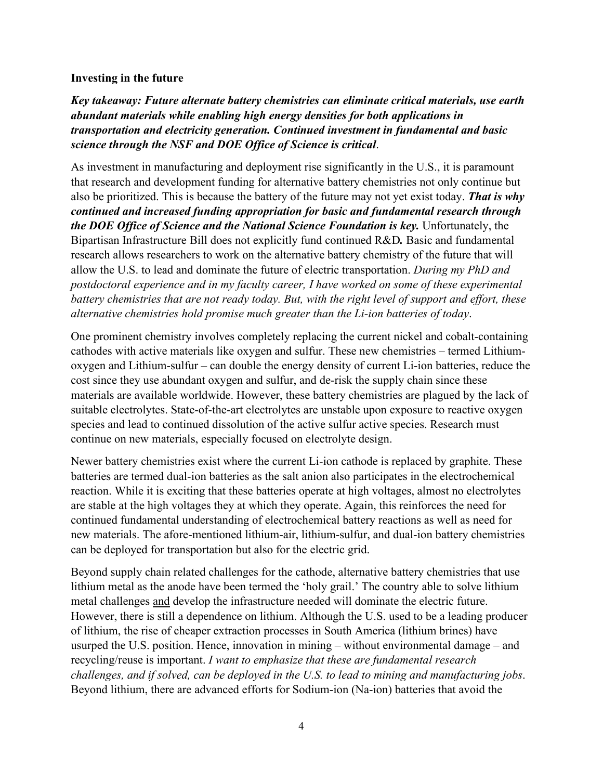### **Investing in the future**

*Key takeaway: Future alternate battery chemistries can eliminate critical materials, use earth abundant materials while enabling high energy densities for both applications in transportation and electricity generation. Continued investment in fundamental and basic science through the NSF and DOE Office of Science is critical*.

As investment in manufacturing and deployment rise significantly in the U.S., it is paramount that research and development funding for alternative battery chemistries not only continue but also be prioritized. This is because the battery of the future may not yet exist today. *That is why continued and increased funding appropriation for basic and fundamental research through the DOE Office of Science and the National Science Foundation is key.* Unfortunately, the Bipartisan Infrastructure Bill does not explicitly fund continued R&D*.* Basic and fundamental research allows researchers to work on the alternative battery chemistry of the future that will allow the U.S. to lead and dominate the future of electric transportation. *During my PhD and postdoctoral experience and in my faculty career, I have worked on some of these experimental battery chemistries that are not ready today. But, with the right level of support and effort, these alternative chemistries hold promise much greater than the Li-ion batteries of today*.

One prominent chemistry involves completely replacing the current nickel and cobalt-containing cathodes with active materials like oxygen and sulfur. These new chemistries – termed Lithiumoxygen and Lithium-sulfur – can double the energy density of current Li-ion batteries, reduce the cost since they use abundant oxygen and sulfur, and de-risk the supply chain since these materials are available worldwide. However, these battery chemistries are plagued by the lack of suitable electrolytes. State-of-the-art electrolytes are unstable upon exposure to reactive oxygen species and lead to continued dissolution of the active sulfur active species. Research must continue on new materials, especially focused on electrolyte design.

Newer battery chemistries exist where the current Li-ion cathode is replaced by graphite. These batteries are termed dual-ion batteries as the salt anion also participates in the electrochemical reaction. While it is exciting that these batteries operate at high voltages, almost no electrolytes are stable at the high voltages they at which they operate. Again, this reinforces the need for continued fundamental understanding of electrochemical battery reactions as well as need for new materials. The afore-mentioned lithium-air, lithium-sulfur, and dual-ion battery chemistries can be deployed for transportation but also for the electric grid.

Beyond supply chain related challenges for the cathode, alternative battery chemistries that use lithium metal as the anode have been termed the 'holy grail.' The country able to solve lithium metal challenges and develop the infrastructure needed will dominate the electric future. However, there is still a dependence on lithium. Although the U.S. used to be a leading producer of lithium, the rise of cheaper extraction processes in South America (lithium brines) have usurped the U.S. position. Hence, innovation in mining – without environmental damage – and recycling/reuse is important. *I want to emphasize that these are fundamental research challenges, and if solved, can be deployed in the U.S. to lead to mining and manufacturing jobs*. Beyond lithium, there are advanced efforts for Sodium-ion (Na-ion) batteries that avoid the